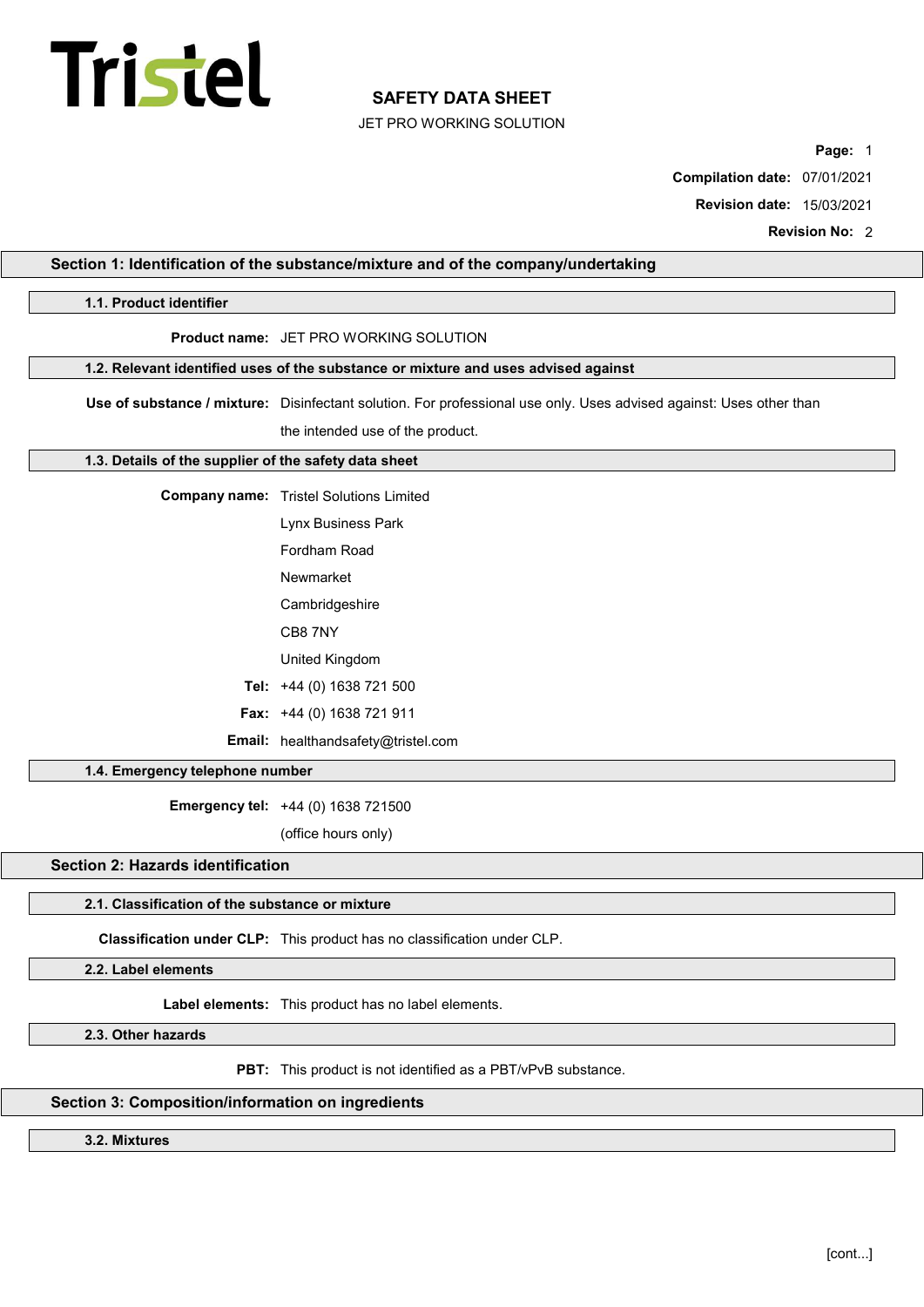# Tristel

# SAFETY DATA SHEET

JET PRO WORKING SOLUTION

Page: 1

Compilation date: 07/01/2021

Revision date: 15/03/2021

Revision No: 2

| 1.1. Product identifier                           |                                                                                                                     |  |  |  |
|---------------------------------------------------|---------------------------------------------------------------------------------------------------------------------|--|--|--|
|                                                   | Product name: JET PRO WORKING SOLUTION                                                                              |  |  |  |
|                                                   |                                                                                                                     |  |  |  |
|                                                   | 1.2. Relevant identified uses of the substance or mixture and uses advised against                                  |  |  |  |
|                                                   | Use of substance / mixture: Disinfectant solution. For professional use only. Uses advised against: Uses other than |  |  |  |
|                                                   | the intended use of the product.                                                                                    |  |  |  |
|                                                   | 1.3. Details of the supplier of the safety data sheet                                                               |  |  |  |
|                                                   | <b>Company name:</b> Tristel Solutions Limited                                                                      |  |  |  |
|                                                   | Lynx Business Park                                                                                                  |  |  |  |
|                                                   | Fordham Road                                                                                                        |  |  |  |
|                                                   | Newmarket                                                                                                           |  |  |  |
|                                                   | Cambridgeshire                                                                                                      |  |  |  |
|                                                   | CB8 7NY                                                                                                             |  |  |  |
|                                                   | United Kingdom                                                                                                      |  |  |  |
|                                                   | Tel: +44 (0) 1638 721 500                                                                                           |  |  |  |
|                                                   | Fax: +44 (0) 1638 721 911                                                                                           |  |  |  |
|                                                   | Email: healthandsafety@tristel.com                                                                                  |  |  |  |
|                                                   | 1.4. Emergency telephone number                                                                                     |  |  |  |
|                                                   | Emergency tel: +44 (0) 1638 721500                                                                                  |  |  |  |
|                                                   | (office hours only)                                                                                                 |  |  |  |
| <b>Section 2: Hazards identification</b>          |                                                                                                                     |  |  |  |
| 2.1. Classification of the substance or mixture   |                                                                                                                     |  |  |  |
|                                                   | Classification under CLP: This product has no classification under CLP.                                             |  |  |  |
| 2.2. Label elements                               |                                                                                                                     |  |  |  |
|                                                   | Label elements: This product has no label elements.                                                                 |  |  |  |
| 2.3. Other hazards                                |                                                                                                                     |  |  |  |
|                                                   |                                                                                                                     |  |  |  |
|                                                   | PBT: This product is not identified as a PBT/vPvB substance.                                                        |  |  |  |
| Section 3: Composition/information on ingredients |                                                                                                                     |  |  |  |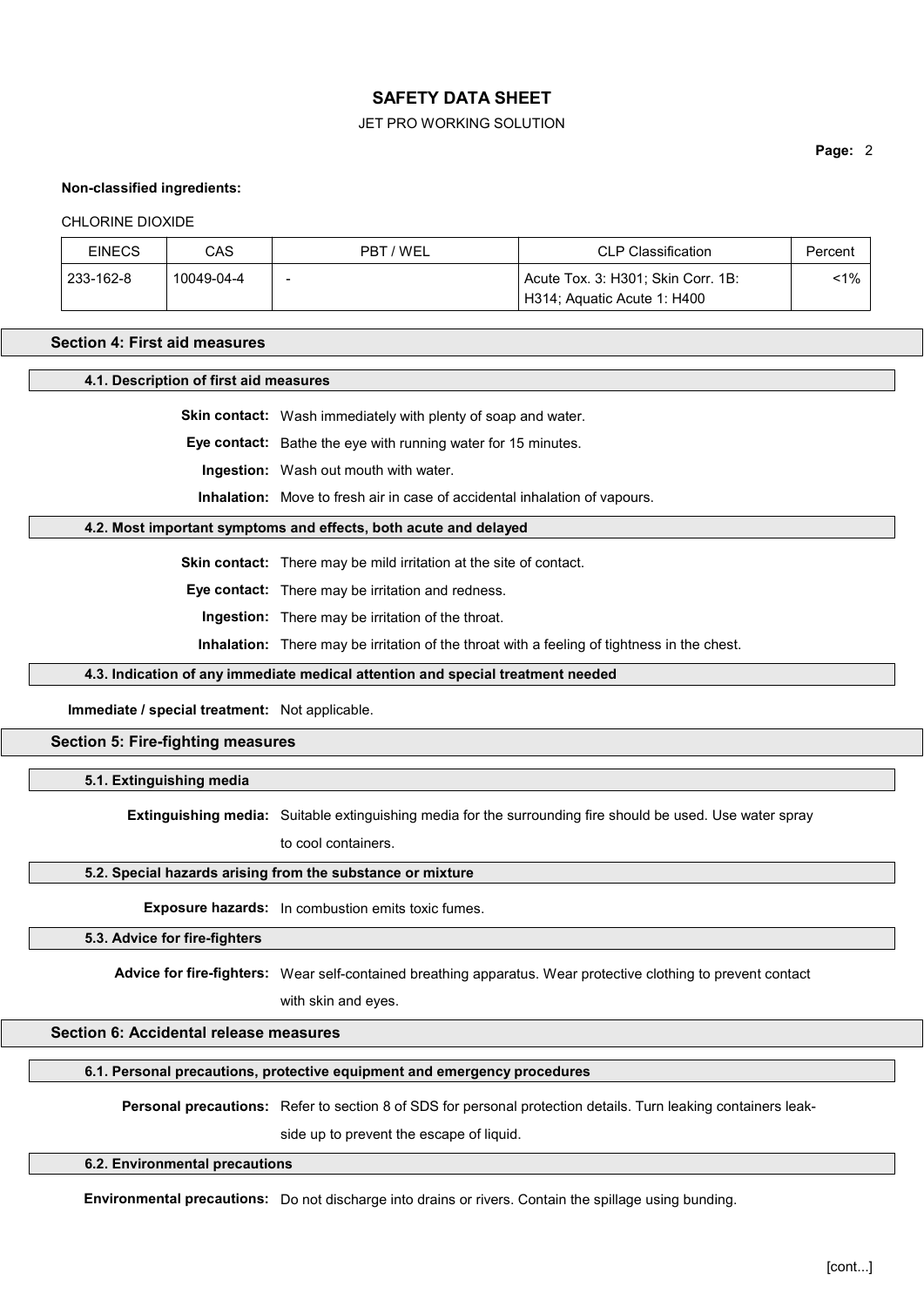#### JET PRO WORKING SOLUTION

Page: 2

#### Non-classified ingredients:

#### CHLORINE DIOXIDE

| <b>EINECS</b> | CAS        | PBT / WEL                | <b>CLP Classification</b>          | Percent |
|---------------|------------|--------------------------|------------------------------------|---------|
| 233-162-8     | 10049-04-4 | $\overline{\phantom{0}}$ | Acute Tox. 3: H301; Skin Corr. 1B: | <1%     |
|               |            |                          | H314; Aquatic Acute 1: H400        |         |

#### Section 4: First aid measures

4.1. Description of first aid measures

Skin contact: Wash immediately with plenty of soap and water.

Eye contact: Bathe the eye with running water for 15 minutes.

Ingestion: Wash out mouth with water.

Inhalation: Move to fresh air in case of accidental inhalation of vapours.

#### 4.2. Most important symptoms and effects, both acute and delayed

Skin contact: There may be mild irritation at the site of contact.

Eye contact: There may be irritation and redness.

Ingestion: There may be irritation of the throat.

Inhalation: There may be irritation of the throat with a feeling of tightness in the chest.

#### 4.3. Indication of any immediate medical attention and special treatment needed

Immediate / special treatment: Not applicable.

## Section 5: Fire-fighting measures

5.1. Extinguishing media

Extinguishing media: Suitable extinguishing media for the surrounding fire should be used. Use water spray

to cool containers.

#### 5.2. Special hazards arising from the substance or mixture

Exposure hazards: In combustion emits toxic fumes.

5.3. Advice for fire-fighters

Advice for fire-fighters: Wear self-contained breathing apparatus. Wear protective clothing to prevent contact

with skin and eyes.

#### Section 6: Accidental release measures

#### 6.1. Personal precautions, protective equipment and emergency procedures

Personal precautions: Refer to section 8 of SDS for personal protection details. Turn leaking containers leak-

side up to prevent the escape of liquid.

#### 6.2. Environmental precautions

Environmental precautions: Do not discharge into drains or rivers. Contain the spillage using bunding.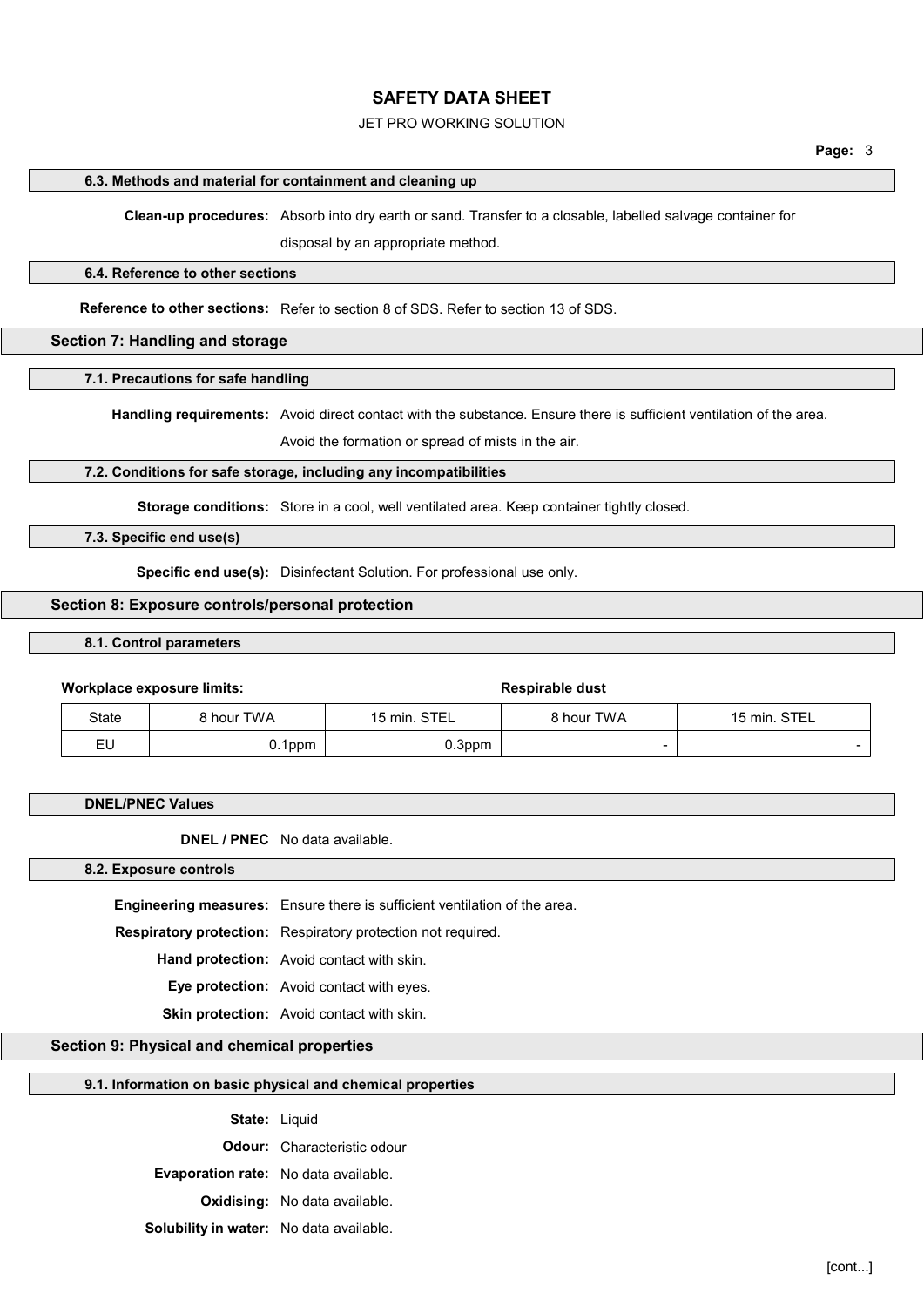#### JET PRO WORKING SOLUTION

#### 6.3. Methods and material for containment and cleaning up

Clean-up procedures: Absorb into dry earth or sand. Transfer to a closable, labelled salvage container for

disposal by an appropriate method.

#### 6.4. Reference to other sections

Reference to other sections: Refer to section 8 of SDS. Refer to section 13 of SDS.

#### Section 7: Handling and storage

7.1. Precautions for safe handling

Handling requirements: Avoid direct contact with the substance. Ensure there is sufficient ventilation of the area.

Avoid the formation or spread of mists in the air.

#### 7.2. Conditions for safe storage, including any incompatibilities

Storage conditions: Store in a cool, well ventilated area. Keep container tightly closed.

7.3. Specific end use(s)

Specific end use(s): Disinfectant Solution. For professional use only.

#### Section 8: Exposure controls/personal protection

#### 8.1. Control parameters

#### Workplace exposure limits: Workplace exposure limits:

|       | _____      |              |                          |                          |
|-------|------------|--------------|--------------------------|--------------------------|
| State | } hour TWA | 15 min. STEL | 8 hour TWA               | 15 min. STEL             |
| EU    | $0.1$ ppm  | .3ppm        | $\overline{\phantom{a}}$ | $\overline{\phantom{0}}$ |

#### DNEL/PNEC Values

DNEL / PNEC No data available.

#### 8.2. Exposure controls

Engineering measures: Ensure there is sufficient ventilation of the area.

Respiratory protection: Respiratory protection not required.

Hand protection: Avoid contact with skin.

Eye protection: Avoid contact with eyes.

Skin protection: Avoid contact with skin.

## Section 9: Physical and chemical properties

#### 9.1. Information on basic physical and chemical properties

| State: | Liquid |  |
|--------|--------|--|
|        |        |  |

Odour: Characteristic odour

Evaporation rate: No data available.

Oxidising: No data available.

Solubility in water: No data available.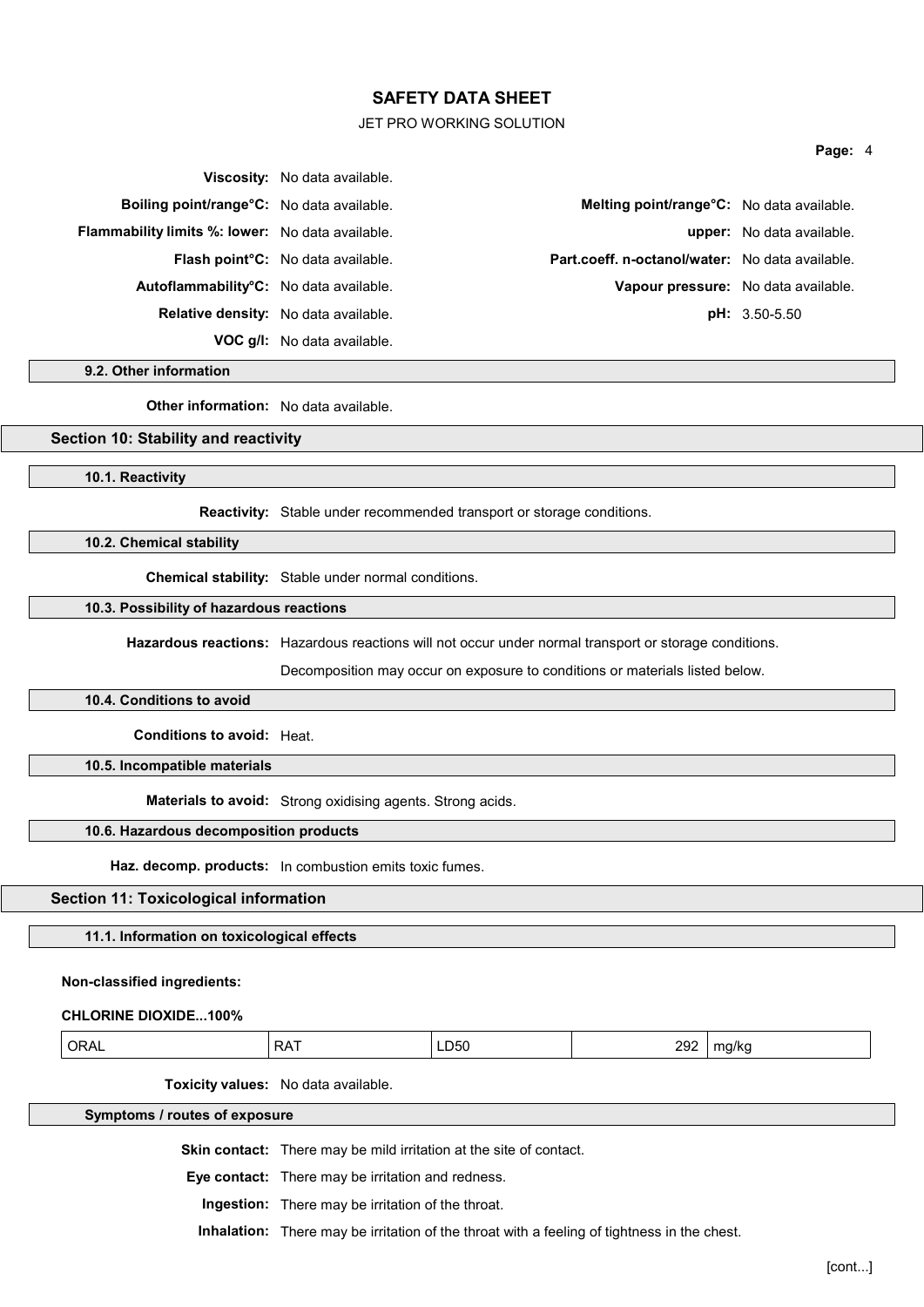#### JET PRO WORKING SOLUTION

#### Page: 4

|                                                         | <b>Viscosity:</b> No data available.        |                                                        |                                  |
|---------------------------------------------------------|---------------------------------------------|--------------------------------------------------------|----------------------------------|
| Boiling point/range°C: No data available.               |                                             | Melting point/range°C: No data available.              |                                  |
| <b>Flammability limits %: lower:</b> No data available. |                                             |                                                        | <b>upper:</b> No data available. |
|                                                         | <b>Flash point C:</b> No data available.    | <b>Part.coeff. n-octanol/water:</b> No data available. |                                  |
| Autoflammability <sup>°</sup> C: No data available.     |                                             | Vapour pressure: No data available.                    |                                  |
|                                                         | <b>Relative density:</b> No data available. |                                                        | $pH: 3.50-5.50$                  |
|                                                         | <b>VOC g/l:</b> No data available.          |                                                        |                                  |

9.2. Other information

Other information: No data available.

#### Section 10: Stability and reactivity

10.1. Reactivity

Reactivity: Stable under recommended transport or storage conditions.

10.2. Chemical stability

Chemical stability: Stable under normal conditions.

#### 10.3. Possibility of hazardous reactions

Hazardous reactions: Hazardous reactions will not occur under normal transport or storage conditions.

Decomposition may occur on exposure to conditions or materials listed below.

#### 10.4. Conditions to avoid

Conditions to avoid: Heat.

10.5. Incompatible materials

Materials to avoid: Strong oxidising agents. Strong acids.

#### 10.6. Hazardous decomposition products

Haz. decomp. products: In combustion emits toxic fumes.

#### Section 11: Toxicological information

11.1. Information on toxicological effects

#### Non-classified ingredients:

#### CHLORINE DIOXIDE...100%

Toxicity values: No data available.

Symptoms / routes of exposure

Skin contact: There may be mild irritation at the site of contact.

Eye contact: There may be irritation and redness.

Ingestion: There may be irritation of the throat.

Inhalation: There may be irritation of the throat with a feeling of tightness in the chest.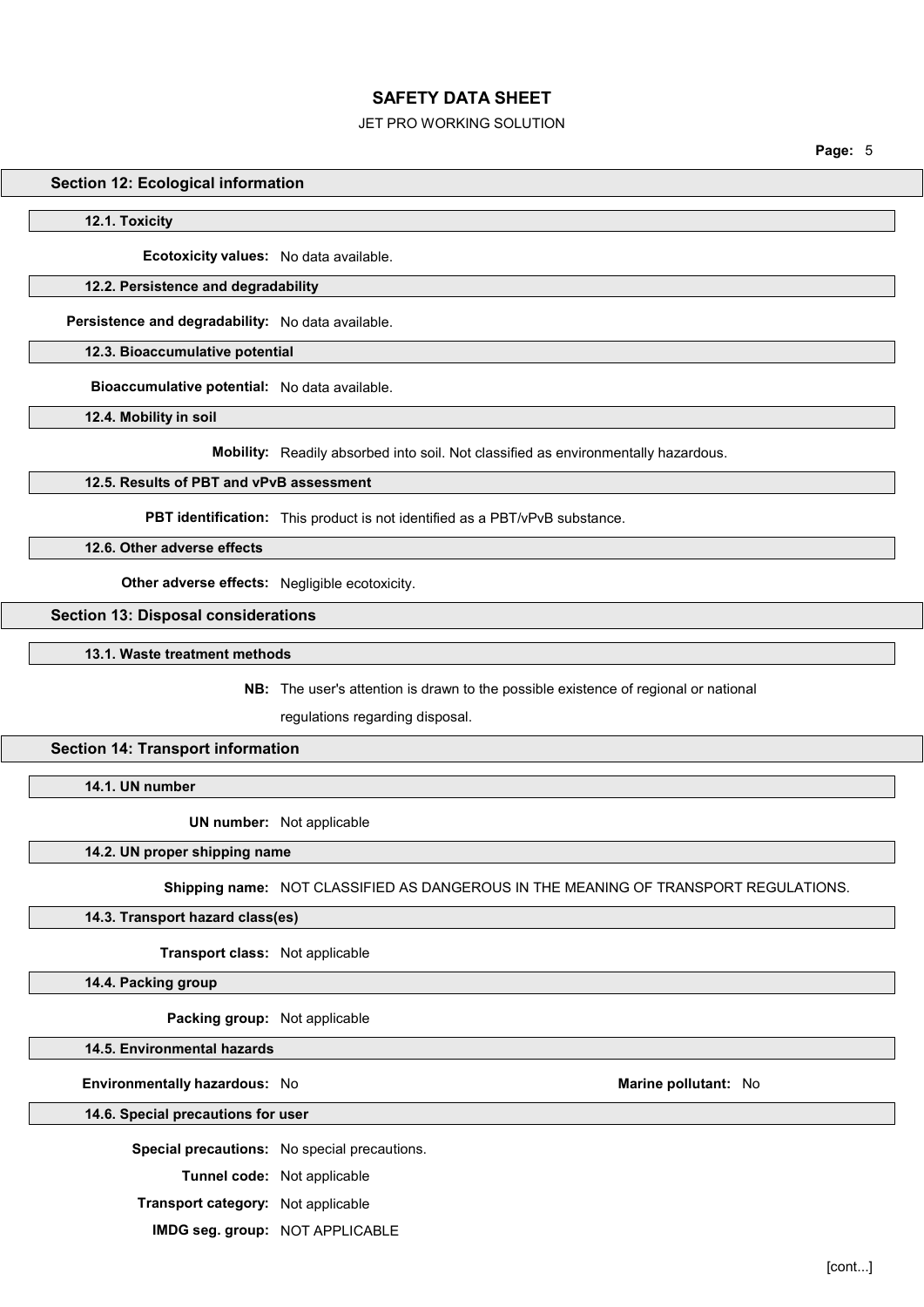#### JET PRO WORKING SOLUTION

Page: 5

#### Section 12: Ecological information

12.1. Toxicity

Ecotoxicity values: No data available.

#### 12.2. Persistence and degradability

Persistence and degradability: No data available.

12.3. Bioaccumulative potential

Bioaccumulative potential: No data available.

12.4. Mobility in soil

Mobility: Readily absorbed into soil. Not classified as environmentally hazardous.

#### 12.5. Results of PBT and vPvB assessment

PBT identification: This product is not identified as a PBT/vPvB substance.

12.6. Other adverse effects

Other adverse effects: Negligible ecotoxicity.

#### Section 13: Disposal considerations

13.1. Waste treatment methods

NB: The user's attention is drawn to the possible existence of regional or national

regulations regarding disposal.

#### Section 14: Transport information

14.1. UN number

UN number: Not applicable

#### 14.2. UN proper shipping name

Shipping name: NOT CLASSIFIED AS DANGEROUS IN THE MEANING OF TRANSPORT REGULATIONS.

14.3. Transport hazard class(es)

Transport class: Not applicable

14.4. Packing group

Packing group: Not applicable

14.5. Environmental hazards

Environmentally hazardous: No and a series of the Marine pollutant: No and Marine pollutant: No

14.6. Special precautions for user

Special precautions: No special precautions.

Tunnel code: Not applicable

Transport category: Not applicable

IMDG seg. group: NOT APPLICABLE